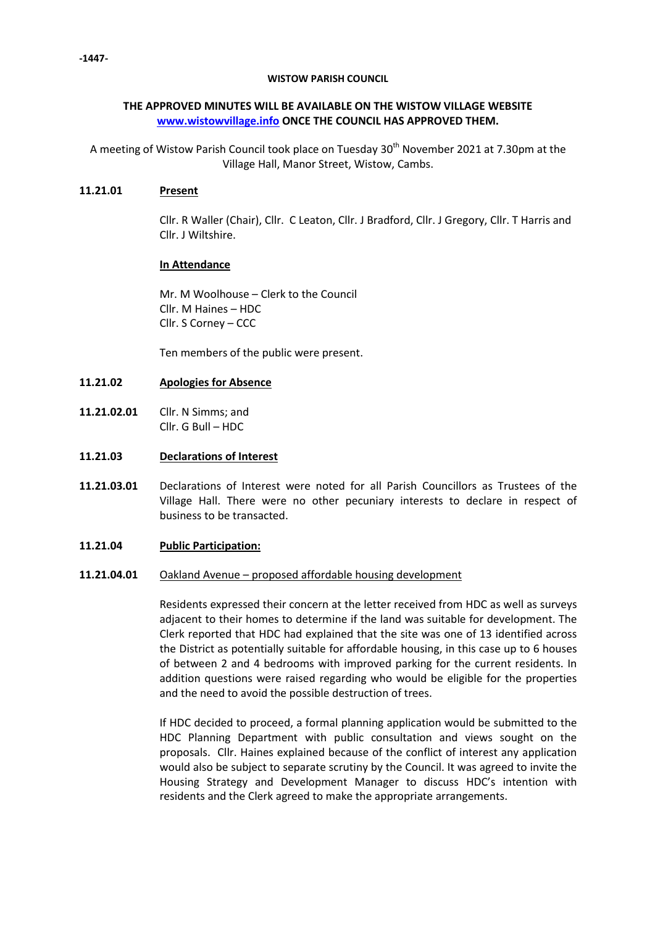## **WISTOW PARISH COUNCIL**

# **THE APPROVED MINUTES WILL BE AVAILABLE ON THE WISTOW VILLAGE WEBSITE [www.wistowvillage.info](http://www.wistowvillage.info/) ONCE THE COUNCIL HAS APPROVED THEM.**

A meeting of Wistow Parish Council took place on Tuesday  $30<sup>th</sup>$  November 2021 at 7.30pm at the Village Hall, Manor Street, Wistow, Cambs.

## **11.21.01 Present**

Cllr. R Waller (Chair), Cllr. C Leaton, Cllr. J Bradford, Cllr. J Gregory, Cllr. T Harris and Cllr. J Wiltshire.

# **In Attendance**

Mr. M Woolhouse – Clerk to the Council Cllr. M Haines – HDC Cllr. S Corney – CCC

Ten members of the public were present.

### **11.21.02 Apologies for Absence**

- **11.21.02.01** Cllr. N Simms; and Cllr. G Bull – HDC
- **11.21.03 Declarations of Interest**
- **11.21.03.01** Declarations of Interest were noted for all Parish Councillors as Trustees of the Village Hall. There were no other pecuniary interests to declare in respect of business to be transacted.

### **11.21.04 Public Participation:**

### **11.21.04.01** Oakland Avenue – proposed affordable housing development

Residents expressed their concern at the letter received from HDC as well as surveys adjacent to their homes to determine if the land was suitable for development. The Clerk reported that HDC had explained that the site was one of 13 identified across the District as potentially suitable for affordable housing, in this case up to 6 houses of between 2 and 4 bedrooms with improved parking for the current residents. In addition questions were raised regarding who would be eligible for the properties and the need to avoid the possible destruction of trees.

If HDC decided to proceed, a formal planning application would be submitted to the HDC Planning Department with public consultation and views sought on the proposals. Cllr. Haines explained because of the conflict of interest any application would also be subject to separate scrutiny by the Council. It was agreed to invite the Housing Strategy and Development Manager to discuss HDC's intention with residents and the Clerk agreed to make the appropriate arrangements.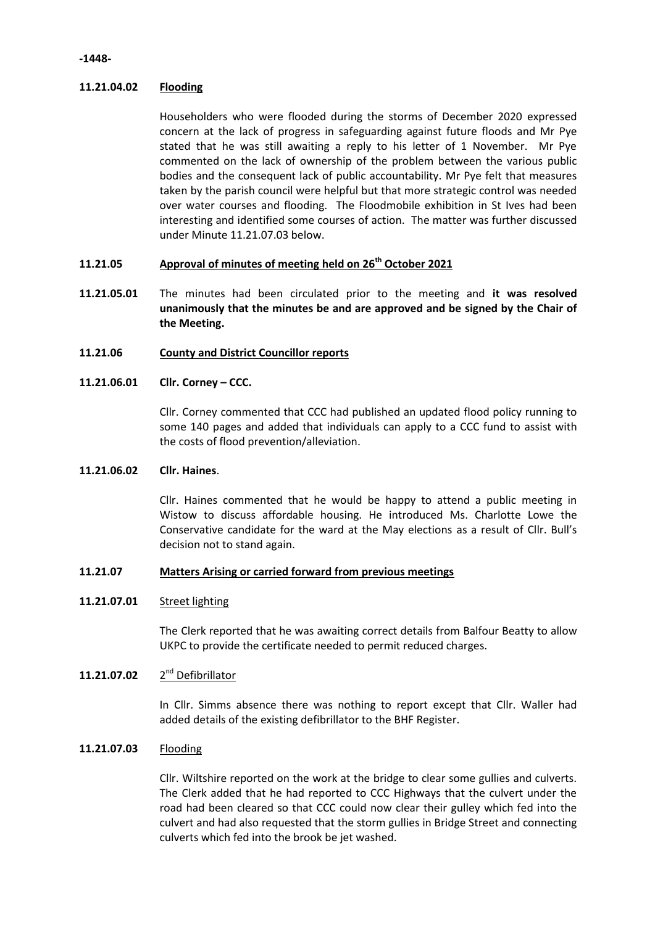# **11.21.04.02 Flooding**

Householders who were flooded during the storms of December 2020 expressed concern at the lack of progress in safeguarding against future floods and Mr Pye stated that he was still awaiting a reply to his letter of 1 November. Mr Pye commented on the lack of ownership of the problem between the various public bodies and the consequent lack of public accountability. Mr Pye felt that measures taken by the parish council were helpful but that more strategic control was needed over water courses and flooding. The Floodmobile exhibition in St Ives had been interesting and identified some courses of action. The matter was further discussed under Minute 11.21.07.03 below.

## **11.21.05 Approval of minutes of meeting held on 26 th October 2021**

**11.21.05.01** The minutes had been circulated prior to the meeting and **it was resolved unanimously that the minutes be and are approved and be signed by the Chair of the Meeting.**

### **11.21.06 County and District Councillor reports**

### **11.21.06.01 Cllr. Corney – CCC.**

Cllr. Corney commented that CCC had published an updated flood policy running to some 140 pages and added that individuals can apply to a CCC fund to assist with the costs of flood prevention/alleviation.

### **11.21.06.02 Cllr. Haines**.

Cllr. Haines commented that he would be happy to attend a public meeting in Wistow to discuss affordable housing. He introduced Ms. Charlotte Lowe the Conservative candidate for the ward at the May elections as a result of Cllr. Bull's decision not to stand again.

### **11.21.07 Matters Arising or carried forward from previous meetings**

### **11.21.07.01** Street lighting

The Clerk reported that he was awaiting correct details from Balfour Beatty to allow UKPC to provide the certificate needed to permit reduced charges.

### **11.21.07.02** 2 2<sup>nd</sup> Defibrillator

In Cllr. Simms absence there was nothing to report except that Cllr. Waller had added details of the existing defibrillator to the BHF Register.

# **11.21.07.03** Flooding

Cllr. Wiltshire reported on the work at the bridge to clear some gullies and culverts. The Clerk added that he had reported to CCC Highways that the culvert under the road had been cleared so that CCC could now clear their gulley which fed into the culvert and had also requested that the storm gullies in Bridge Street and connecting culverts which fed into the brook be jet washed.

## **-1448-**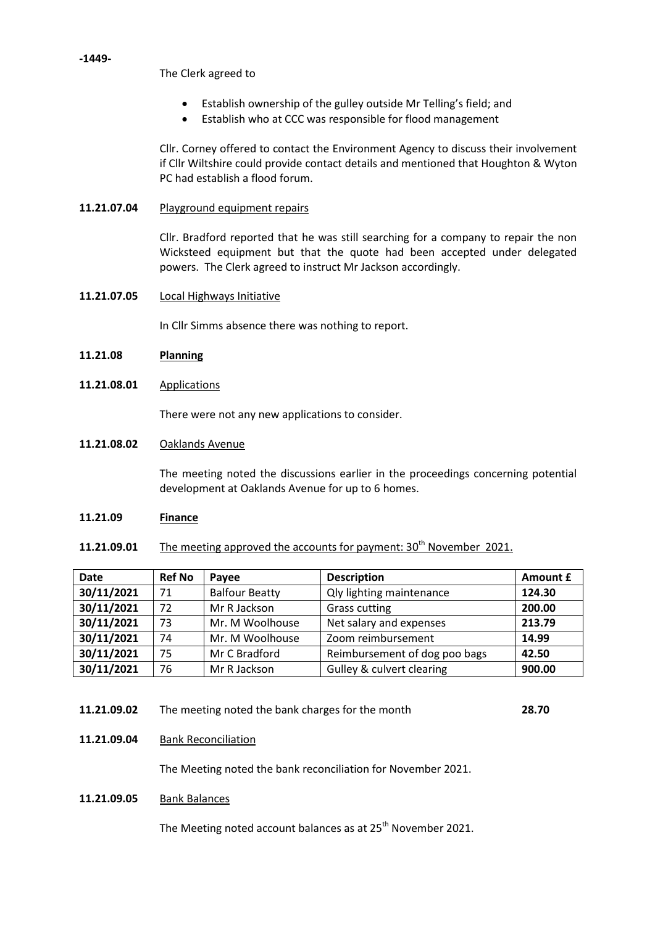The Clerk agreed to

- Establish ownership of the gulley outside Mr Telling's field; and
- Establish who at CCC was responsible for flood management

Cllr. Corney offered to contact the Environment Agency to discuss their involvement if Cllr Wiltshire could provide contact details and mentioned that Houghton & Wyton PC had establish a flood forum.

# **11.21.07.04** Playground equipment repairs

Cllr. Bradford reported that he was still searching for a company to repair the non Wicksteed equipment but that the quote had been accepted under delegated powers. The Clerk agreed to instruct Mr Jackson accordingly.

**11.21.07.05** Local Highways Initiative

In Cllr Simms absence there was nothing to report.

- **11.21.08 Planning**
- **11.21.08.01** Applications

There were not any new applications to consider.

**11.21.08.02** Oaklands Avenue

> The meeting noted the discussions earlier in the proceedings concerning potential development at Oaklands Avenue for up to 6 homes.

### **11.21.09 Finance**

**11.21.09.01** The meeting approved the accounts for payment: 30<sup>th</sup> November 2021.

| <b>Date</b> | <b>Ref No</b> | Payee                 | <b>Description</b>                   | Amount £ |
|-------------|---------------|-----------------------|--------------------------------------|----------|
| 30/11/2021  | 71            | <b>Balfour Beatty</b> | <b>Qly lighting maintenance</b>      | 124.30   |
| 30/11/2021  | 72            | Mr R Jackson          | <b>Grass cutting</b>                 | 200.00   |
| 30/11/2021  | 73            | Mr. M Woolhouse       | Net salary and expenses              | 213.79   |
| 30/11/2021  | 74            | Mr. M Woolhouse       | Zoom reimbursement                   | 14.99    |
| 30/11/2021  | 75            | Mr C Bradford         | Reimbursement of dog poo bags        | 42.50    |
| 30/11/2021  | 76            | Mr R Jackson          | <b>Gulley &amp; culvert clearing</b> | 900.00   |

- **11.21.09.02** The meeting noted the bank charges for the month **28.70**
- **11.21.09.04** Bank Reconciliation

The Meeting noted the bank reconciliation for November 2021.

**11.21.09.05** Bank Balances

The Meeting noted account balances as at 25<sup>th</sup> November 2021.

## **-1449-**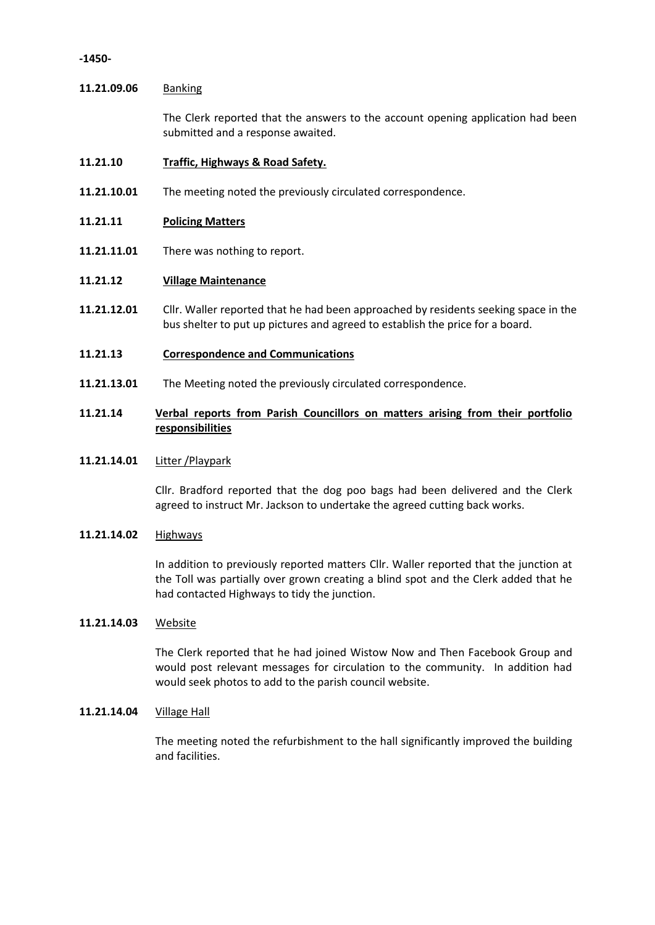## **-1450-**

## **11.21.09.06** Banking

The Clerk reported that the answers to the account opening application had been submitted and a response awaited.

### **11.21.10 Traffic, Highways & Road Safety.**

**11.21.10.01** The meeting noted the previously circulated correspondence.

### **11.21.11 Policing Matters**

**11.21.11.01** There was nothing to report.

### **11.21.12 Village Maintenance**

- **11.21.12.01** Cllr. Waller reported that he had been approached by residents seeking space in the bus shelter to put up pictures and agreed to establish the price for a board.
- **11.21.13 Correspondence and Communications**
- **11.21.13.01** The Meeting noted the previously circulated correspondence.

# **11.21.14 Verbal reports from Parish Councillors on matters arising from their portfolio responsibilities**

## **11.21.14.01** Litter /Playpark

Cllr. Bradford reported that the dog poo bags had been delivered and the Clerk agreed to instruct Mr. Jackson to undertake the agreed cutting back works.

### **11.21.14.02** Highways

In addition to previously reported matters Cllr. Waller reported that the junction at the Toll was partially over grown creating a blind spot and the Clerk added that he had contacted Highways to tidy the junction.

### **11.21.14.03** Website

The Clerk reported that he had joined Wistow Now and Then Facebook Group and would post relevant messages for circulation to the community. In addition had would seek photos to add to the parish council website.

### **11.21.14.04** Village Hall

The meeting noted the refurbishment to the hall significantly improved the building and facilities.